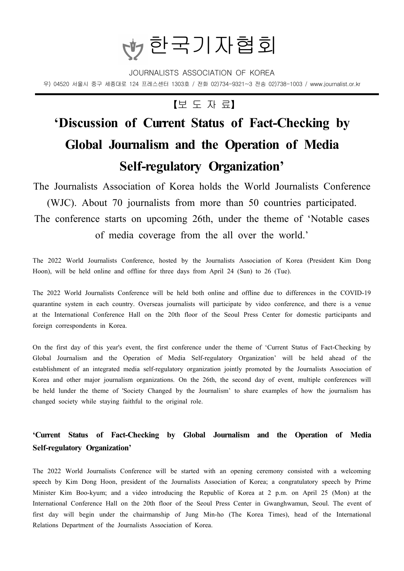

JOURNALISTS ASSOCIATION OF KOREA 우) 04520 서울시 중구 세종대로 124 프레스센터 1303호 / 전화 02)734-9321~3 전송 02)738-1003 / www.journalist.or.kr

### 【보 도 자 료】

# **'Discussion of Current Status of Fact-Checking by Global Journalism and the Operation of Media Self-regulatory Organization'**

The Journalists Association of Korea holds the World Journalists Conference (WJC). About 70 journalists from more than 50 countries participated. The conference starts on upcoming 26th, under the theme of 'Notable cases of media coverage from the all over the world.'

The 2022 World Journalists Conference, hosted by the Journalists Association of Korea (President Kim Dong Hoon), will be held online and offline for three days from April 24 (Sun) to 26 (Tue).

The 2022 World Journalists Conference will be held both online and offline due to differences in the COVID-19 quarantine system in each country. Overseas journalists will participate by video conference, and there is a venue at the International Conference Hall on the 20th floor of the Seoul Press Center for domestic participants and foreign correspondents in Korea.

On the first day of this year's event, the first conference under the theme of 'Current Status of Fact-Checking by Global Journalism and the Operation of Media Self-regulatory Organization' will be held ahead of the establishment of an integrated media self-regulatory organization jointly promoted by the Journalists Association of Korea and other major journalism organizations. On the 26th, the second day of event, multiple conferences will be held lunder the theme of 'Society Changed by the Journalism' to share examples of how the journalism has changed society while staying faithful to the original role.

### **'Current Status of Fact-Checking by Global Journalism and the Operation of Media Self-regulatory Organization'**

The 2022 World Journalists Conference will be started with an opening ceremony consisted with a welcoming speech by Kim Dong Hoon, president of the Journalists Association of Korea; a congratulatory speech by Prime Minister Kim Boo-kyum; and a video introducing the Republic of Korea at 2 p.m. on April 25 (Mon) at the International Conference Hall on the 20th floor of the Seoul Press Center in Gwanghwamun, Seoul. The event of first day will begin under the chairmanship of Jung Min-ho (The Korea Times), head of the International Relations Department of the Journalists Association of Korea.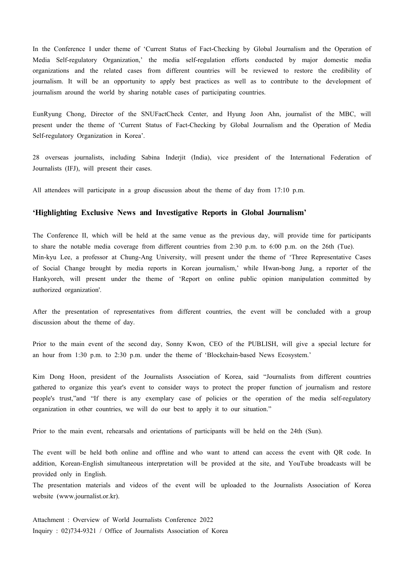In the Conference I under theme of 'Current Status of Fact-Checking by Global Journalism and the Operation of Media Self-regulatory Organization,' the media self-regulation efforts conducted by major domestic media organizations and the related cases from different countries will be reviewed to restore the credibility of journalism. It will be an opportunity to apply best practices as well as to contribute to the development of journalism around the world by sharing notable cases of participating countries.

EunRyung Chong, Director of the SNUFactCheck Center, and Hyung Joon Ahn, journalist of the MBC, will present under the theme of 'Current Status of Fact-Checking by Global Journalism and the Operation of Media Self-regulatory Organization in Korea'.

28 overseas journalists, including Sabina Inderjit (India), vice president of the International Federation of Journalists (IFJ), will present their cases.

All attendees will participate in a group discussion about the theme of day from 17:10 p.m.

#### **'Highlighting Exclusive News and Investigative Reports in Global Journalism'**

The Conference II, which will be held at the same venue as the previous day, will provide time for participants to share the notable media coverage from different countries from 2:30 p.m. to 6:00 p.m. on the 26th (Tue). Min-kyu Lee, a professor at Chung-Ang University, will present under the theme of 'Three Representative Cases of Social Change brought by media reports in Korean journalism,' while Hwan-bong Jung, a reporter of the Hankyoreh, will present under the theme of 'Report on online public opinion manipulation committed by authorized organization'.

After the presentation of representatives from different countries, the event will be concluded with a group discussion about the theme of day.

Prior to the main event of the second day, Sonny Kwon, CEO of the PUBLISH, will give a special lecture for an hour from 1:30 p.m. to 2:30 p.m. under the theme of 'Blockchain-based News Ecosystem.'

Kim Dong Hoon, president of the Journalists Association of Korea, said "Journalists from different countries gathered to organize this year's event to consider ways to protect the proper function of journalism and restore people's trust,"and "If there is any exemplary case of policies or the operation of the media self-regulatory organization in other countries, we will do our best to apply it to our situation."

Prior to the main event, rehearsals and orientations of participants will be held on the 24th (Sun).

The event will be held both online and offline and who want to attend can access the event with QR code. In addition, Korean-English simultaneous interpretation will be provided at the site, and YouTube broadcasts will be provided only in English.

The presentation materials and videos of the event will be uploaded to the Journalists Association of Korea website (www.journalist.or.kr).

Attachment : Overview of World Journalists Conference 2022 Inquiry : 02)734-9321 / Office of Journalists Association of Korea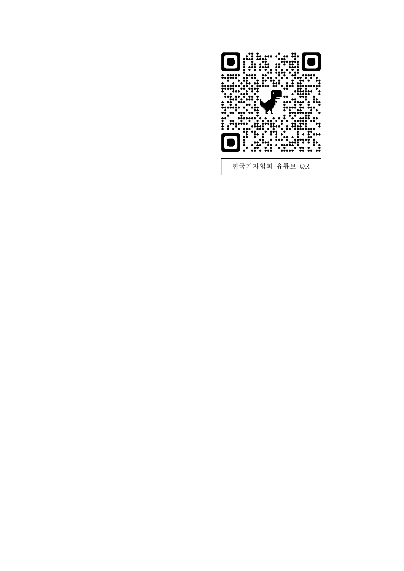